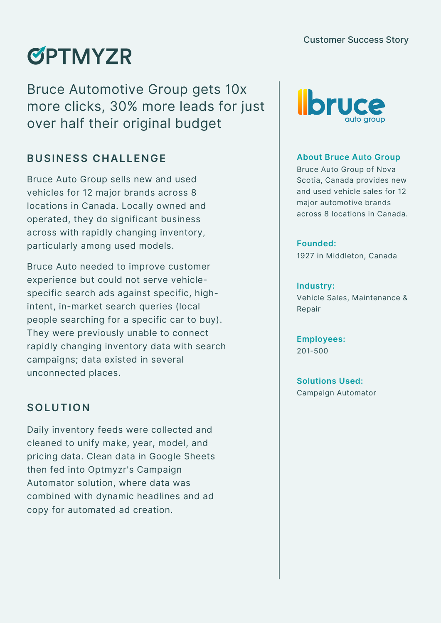# **ØPTMYZR**

Bruce Automotive Group gets 10x more clicks, 30% more leads for just over half their original budget

# **BUSINESS CHALLENGE**

Bruce Auto Group sells new and used vehicles for 12 major brands across 8 locations in Canada. Locally owned and operated, they do significant business across with rapidly changing inventory, particularly among used models.

Bruce Auto needed to improve customer experience but could not serve vehiclespecific search ads against specific, highintent, in-market search queries (local people searching for a specific car to buy). They were previously unable to connect rapidly changing inventory data with search campaigns; data existed in several unconnected places.

# **SOLUTION**

Daily inventory feeds were collected and cleaned to unify make, year, model, and pricing data. Clean data in Google Sheets then fed into Optmyzr's Campaign Automator solution, where data was combined with dynamic headlines and ad copy for automated ad creation.



#### **About Bruce Auto Group**

Bruce Auto Group of Nova Scotia, Canada provides new and used vehicle sales for 12 major automotive brands across 8 locations in Canada.

### **Founded:**

1927 in Middleton, Canada

#### **Industry:**

Vehicle Sales, Maintenance & Repair

**Employees:** 201-500

**Solutions Used:** Campaign Automator